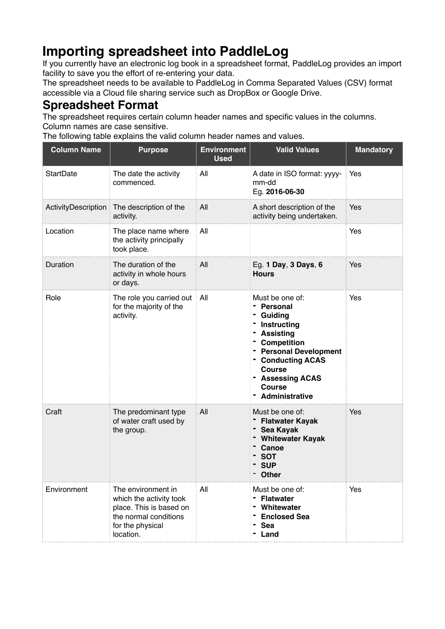## **Importing spreadsheet into PaddleLog**

If you currently have an electronic log book in a spreadsheet format, PaddleLog provides an import facility to save you the effort of re-entering your data.

The spreadsheet needs to be available to PaddleLog in Comma Separated Values (CSV) format accessible via a Cloud file sharing service such as DropBox or Google Drive.

## **Spreadsheet Format**

The spreadsheet requires certain column header names and specific values in the columns. Column names are case sensitive.

The following table explains the valid column header names and values.

| <b>Column Name</b>  | <b>Purpose</b>                                                                                                                     | <b>Environment</b><br><b>Used</b> | <b>Valid Values</b>                                                                                                                                                                                              | <b>Mandatory</b> |
|---------------------|------------------------------------------------------------------------------------------------------------------------------------|-----------------------------------|------------------------------------------------------------------------------------------------------------------------------------------------------------------------------------------------------------------|------------------|
| <b>StartDate</b>    | The date the activity<br>commenced.                                                                                                | All                               | A date in ISO format: yyyy-<br>mm-dd<br>Eg. 2016-06-30                                                                                                                                                           | Yes              |
| ActivityDescription | The description of the<br>activity.                                                                                                | All                               | A short description of the<br>activity being undertaken.                                                                                                                                                         | Yes              |
| Location            | The place name where<br>the activity principally<br>took place.                                                                    | All                               |                                                                                                                                                                                                                  | Yes              |
| Duration            | The duration of the<br>activity in whole hours<br>or days.                                                                         | All                               | Eg. 1 Day, 3 Days, 6<br><b>Hours</b>                                                                                                                                                                             | Yes              |
| Role                | The role you carried out<br>for the majority of the<br>activity.                                                                   | All                               | Must be one of:<br>- Personal<br>Guiding<br>Instructing<br>- Assisting<br>- Competition<br>- Personal Development<br>- Conducting ACAS<br><b>Course</b><br>- Assessing ACAS<br><b>Course</b><br>- Administrative | Yes              |
| Craft               | The predominant type<br>of water craft used by<br>the group.                                                                       | All                               | Must be one of:<br>- Flatwater Kayak<br>- Sea Kayak<br>- Whitewater Kayak<br>Canoe<br><b>SOT</b><br>- SUP<br><b>Other</b>                                                                                        | Yes              |
| Environment         | The environment in<br>which the activity took<br>place. This is based on<br>the normal conditions<br>for the physical<br>location. | All                               | Must be one of:<br><b>Flatwater</b><br>Whitewater<br><b>Enclosed Sea</b><br><b>Sea</b><br>Land                                                                                                                   | Yes              |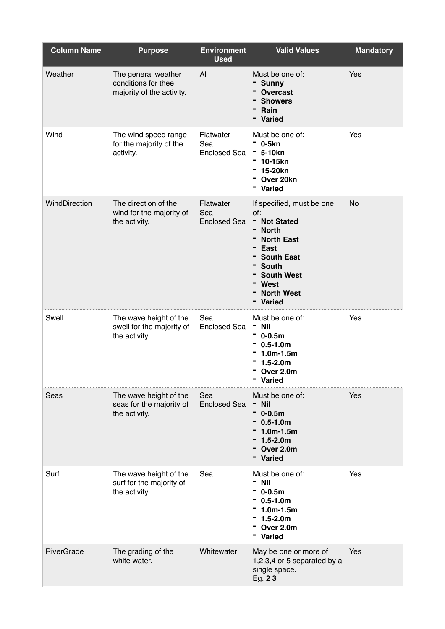| <b>Column Name</b> | <b>Purpose</b>                                                          | <b>Environment</b><br><b>Used</b>       | <b>Valid Values</b>                                                                                                                                                                    | <b>Mandatory</b> |
|--------------------|-------------------------------------------------------------------------|-----------------------------------------|----------------------------------------------------------------------------------------------------------------------------------------------------------------------------------------|------------------|
| Weather            | The general weather<br>conditions for thee<br>majority of the activity. | All                                     | Must be one of:<br><b>Sunny</b><br><b>Overcast</b><br><b>Showers</b><br>Rain<br><b>Varied</b>                                                                                          | Yes              |
| Wind               | The wind speed range<br>for the majority of the<br>activity.            | Flatwater<br>Sea<br><b>Enclosed Sea</b> | Must be one of:<br>$-$ 0-5 $kn$<br><sup>-</sup> 5-10kn<br>10-15kn<br>15-20kn<br>Over 20kn<br>Varied                                                                                    | Yes              |
| WindDirection      | The direction of the<br>wind for the majority of<br>the activity.       | Flatwater<br>Sea<br><b>Enclosed Sea</b> | If specified, must be one<br>of:<br>- Not Stated<br>- North<br><b>North East</b><br>East<br><b>South East</b><br>- South<br><b>South West</b><br>West<br><b>North West</b><br>- Varied | <b>No</b>        |
| Swell              | The wave height of the<br>swell for the majority of<br>the activity.    | Sea<br>Enclosed Sea                     | Must be one of:<br>- Nil<br>$-0.5m$<br>$0.5 - 1.0m$<br>$1.0m-1.5m$<br>$1.5 - 2.0m$<br>Over 2.0m<br>- Varied                                                                            | Yes              |
| Seas               | The wave height of the<br>seas for the majority of<br>the activity.     | Sea<br><b>Enclosed Sea</b>              | Must be one of:<br>- Nil<br>- 0-0.5m<br>$-0.5-1.0m$<br>$1.0m-1.5m$<br>$1.5 - 2.0m$<br>Over 2.0m<br>- Varied                                                                            | Yes              |
| Surf               | The wave height of the<br>surf for the majority of<br>the activity.     | Sea                                     | Must be one of:<br><b>Nil</b><br>0-0.5m<br>$0.5 - 1.0m$<br>$1.0m-1.5m$<br>$1.5 - 2.0m$<br>Over 2.0m<br>- Varied                                                                        | Yes              |
| <b>RiverGrade</b>  | The grading of the<br>white water.                                      | Whitewater                              | May be one or more of<br>1,2,3,4 or 5 separated by a<br>single space.<br>Eg. 23                                                                                                        | Yes              |